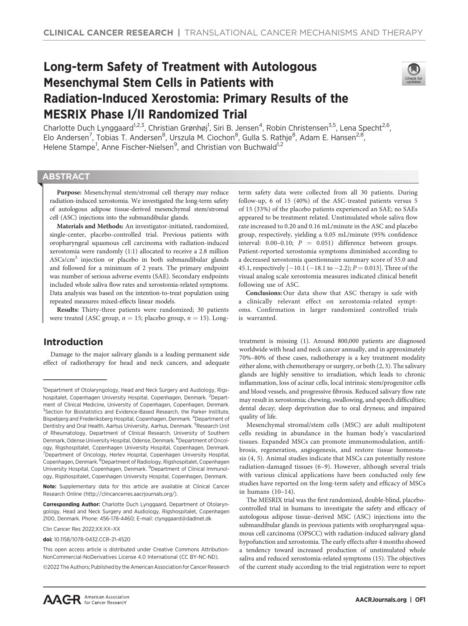# Long-term Safety of Treatment with Autologous Mesenchymal Stem Cells in Patients with Radiation-Induced Xerostomia: Primary Results of the MESRIX Phase I/II Randomized Trial



Charlotte Duch Lynggaard<sup>1,2,3</sup>, Christian Grønhøj<sup>1</sup>, Siri B. Jensen<sup>4</sup>, Robin Christensen<sup>3,5</sup>, Lena Specht<sup>2,6</sup>, Elo Andersen<sup>7</sup>, Tobias T. Andersen<sup>8</sup>, Urszula M. Ciochon<sup>8</sup>, Gulla S. Rathje<sup>8</sup>, Adam E. Hansen<sup>2,8</sup>, Helene Stampe<sup>1</sup>, Anne Fischer-Nielsen<sup>9</sup>, and Christian von Buchwald<sup>1,2</sup>

## **ABSTRACT**

◥

Purpose: Mesenchymal stem/stromal cell therapy may reduce radiation-induced xerostomia. We investigated the long-term safety of autologous adipose tissue-derived mesenchymal stem/stromal cell (ASC) injections into the submandibular glands.

Materials and Methods: An investigator-initiated, randomized, single-center, placebo-controlled trial. Previous patients with oropharyngeal squamous cell carcinoma with radiation-induced xerostomia were randomly (1:1) allocated to receive a 2.8 million  $ASCs/cm<sup>3</sup>$  injection or placebo in both submandibular glands and followed for a minimum of 2 years. The primary endpoint was number of serious adverse events (SAE). Secondary endpoints included whole saliva flow rates and xerostomia-related symptoms. Data analysis was based on the intention-to-treat population using repeated measures mixed-effects linear models.

Results: Thirty-three patients were randomized; 30 patients were treated (ASC group,  $n = 15$ ; placebo group,  $n = 15$ ). Long-

# Introduction

Damage to the major salivary glands is a leading permanent side effect of radiotherapy for head and neck cancers, and adequate

2022 The Authors; Published by the American Association for Cancer Research

term safety data were collected from all 30 patients. During follow-up, 6 of 15 (40%) of the ASC-treated patients versus 5 of 15 (33%) of the placebo patients experienced an SAE; no SAEs appeared to be treatment related. Unstimulated whole saliva flow rate increased to 0.20 and 0.16 mL/minute in the ASC and placebo group, respectively, yielding a 0.05 mL/minute (95% confidence interval:  $0.00-0.10$ ;  $P = 0.051$ ) difference between groups. Patient-reported xerostomia symptoms diminished according to a decreased xerostomia questionnaire summary score of 35.0 and 45.1, respectively  $[-10.1 (-18.1 \text{ to } -2.2); P = 0.013]$ . Three of the visual analog scale xerostomia measures indicated clinical benefit following use of ASC.

Conclusions: Our data show that ASC therapy is safe with a clinically relevant effect on xerostomia-related symptoms. Confirmation in larger randomized controlled trials is warranted.

treatment is missing (1). Around 800,000 patients are diagnosed worldwide with head and neck cancer annually, and in approximately 70%–80% of these cases, radiotherapy is a key treatment modality either alone, with chemotherapy or surgery, or both (2, 3). The salivary glands are highly sensitive to irradiation, which leads to chronic inflammation, loss of acinar cells, local intrinsic stem/progenitor cells and blood vessels, and progressive fibrosis. Reduced salivary flow rate may result in xerostomia; chewing, swallowing, and speech difficulties; dental decay; sleep deprivation due to oral dryness; and impaired quality of life.

Mesenchymal stromal/stem cells (MSC) are adult multipotent cells residing in abundance in the human body's vascularized tissues. Expanded MSCs can promote immunomodulation, antifibrosis, regeneration, angiogenesis, and restore tissue homeostasis (4, 5). Animal studies indicate that MSCs can potentially restore radiation-damaged tissues (6–9). However, although several trials with various clinical applications have been conducted only few studies have reported on the long-term safety and efficacy of MSCs in humans (10–14).

The MESRIX trial was the first randomized, double-blind, placebocontrolled trial in humans to investigate the safety and efficacy of autologous adipose tissue–derived MSC (ASC) injections into the submandibular glands in previous patients with oropharyngeal squamous cell carcinoma (OPSCC) with radiation-induced salivary gland hypofunction and xerostomia. The early effects after 4 months showed a tendency toward increased production of unstimulated whole saliva and reduced xerostomia-related symptoms (15). The objectives of the current study according to the trial registration were to report

<sup>&</sup>lt;sup>1</sup>Department of Otolaryngology, Head and Neck Surgery and Audiology, Rigshospitalet, Copenhagen University Hospital, Copenhagen, Denmark. <sup>2</sup>Department of Clinical Medicine, University of Copenhagen, Copenhagen, Denmark. <sup>3</sup>Section for Biostatistics and Evidence-Based Research, the Parker Institute, Bispebjerg and Frederiksberg Hospital, Copenhagen, Denmark. <sup>4</sup>Department of Dentistry and Oral Health, Aarhus University, Aarhus, Denmark. <sup>5</sup>Research Unit of Rheumatology, Department of Clinical Research, University of Southern Denmark, Odense University Hospital, Odense, Denmark. <sup>6</sup>Department of Oncology, Rigshospitalet, Copenhagen University Hospital, Copenhagen, Denmark. <sup>7</sup>Department of Oncology, Herlev Hospital, Copenhagen University Hospital, Copenhagen, Denmark. <sup>8</sup>Department of Radiology, Rigshospitalet, Copenhagen University Hospital, Copenhagen, Denmark. <sup>9</sup>Department of Clinical Immunology, Rigshospitalet, Copenhagen University Hospital, Copenhagen, Denmark.

Note: Supplementary data for this article are available at Clinical Cancer Research Online (http://clincancerres.aacrjournals.org/).

Corresponding Author: Charlotte Duch Lynggaard, Department of Otolaryngology, Head and Neck Surgery and Audiology, Rigshospitalet, Copenhagen 2100, Denmark. Phone: 456-178-4460; E-mail: clynggaard@dadlnet.dk

Clin Cancer Res 2022;XX:XX–XX

doi: 10.1158/1078-0432.CCR-21-4520

This open access article is distributed under Creative Commons Attribution-NonCommercial-NoDerivatives License 4.0 International (CC BY-NC-ND).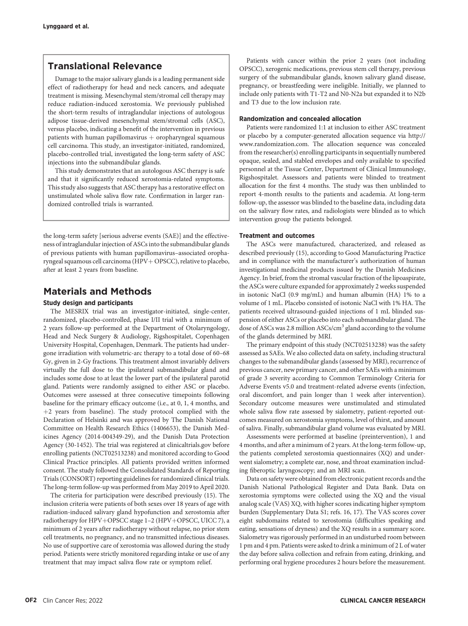# Translational Relevance

Damage to the major salivary glands is a leading permanent side effect of radiotherapy for head and neck cancers, and adequate treatment is missing. Mesenchymal stem/stromal cell therapy may reduce radiation-induced xerostomia. We previously published the short-term results of intraglandular injections of autologous adipose tissue-derived mesenchymal stem/stromal cells (ASC), versus placebo, indicating a benefit of the intervention in previous patients with human papillomavirus  $+$  oropharyngeal squamous cell carcinoma. This study, an investigator-initiated, randomized, placebo-controlled trial, investigated the long-term safety of ASC injections into the submandibular glands.

This study demonstrates that an autologous ASC therapy is safe and that it significantly reduced xerostomia-related symptoms. This study also suggests that ASC therapy has a restorative effect on unstimulated whole saliva flow rate. Confirmation in larger randomized controlled trials is warranted.

the long-term safety [serious adverse events (SAE)] and the effectiveness of intraglandular injection of ASCs into the submandibular glands of previous patients with human papillomavirus–associated oropharyngeal squamous cell carcinoma (HPV+OPSCC), relative to placebo, after at least 2 years from baseline.

## Materials and Methods

## Study design and participants

The MESRIX trial was an investigator-initiated, single-center, randomized, placebo-controlled, phase I/II trial with a minimum of 2 years follow-up performed at the Department of Otolaryngology, Head and Neck Surgery & Audiology, Rigshospitalet, Copenhagen University Hospital, Copenhagen, Denmark. The patients had undergone irradiation with volumetric-arc therapy to a total dose of 60–68 Gy, given in 2-Gy fractions. This treatment almost invariably delivers virtually the full dose to the ipsilateral submandibular gland and includes some dose to at least the lower part of the ipsilateral parotid gland. Patients were randomly assigned to either ASC or placebo. Outcomes were assessed at three consecutive timepoints following baseline for the primary efficacy outcome (i.e., at 0, 1, 4 months, and  $+2$  years from baseline). The study protocol complied with the Declaration of Helsinki and was approved by The Danish National Committee on Health Research Ethics (1406653), the Danish Medicines Agency (2014-004349-29), and the Danish Data Protection Agency (30-1452). The trial was registered at clinicaltrials.gov before enrolling patients (NCT02513238) and monitored according to Good Clinical Practice principles. All patients provided written informed consent. The study followed the Consolidated Standards of Reporting Trials (CONSORT) reporting guidelines for randomized clinical trials. The long-term follow-up was performed from May 2019 to April 2020.

The criteria for participation were described previously (15). The inclusion criteria were patients of both sexes over 18 years of age with radiation-induced salivary gland hypofunction and xerostomia after radiotherapy for HPV+OPSCC stage 1-2 (HPV+OPSCC, UICC 7), a minimum of 2 years after radiotherapy without relapse, no prior stem cell treatments, no pregnancy, and no transmitted infectious diseases. No use of supportive care of xerostomia was allowed during the study period. Patients were strictly monitored regarding intake or use of any treatment that may impact saliva flow rate or symptom relief.

Patients with cancer within the prior 2 years (not including OPSCC), xerogenic medications, previous stem cell therapy, previous surgery of the submandibular glands, known salivary gland disease, pregnancy, or breastfeeding were ineligible. Initially, we planned to include only patients with T1-T2 and N0-N2a but expanded it to N2b and T3 due to the low inclusion rate.

#### Randomization and concealed allocation

Patients were randomized 1:1 at inclusion to either ASC treatment or placebo by a computer-generated allocation sequence via [http://](http://www.randomization.com) [www.randomization.com.](http://www.randomization.com) The allocation sequence was concealed from the researcher(s) enrolling participants in sequentially numbered opaque, sealed, and stabled envelopes and only available to specified personnel at the Tissue Center, Department of Clinical Immunology, Rigshospitalet. Assessors and patients were blinded to treatment allocation for the first 4 months. The study was then unblinded to report 4-month results to the patients and academia. At long-term follow-up, the assessor was blinded to the baseline data, including data on the salivary flow rates, and radiologists were blinded as to which intervention group the patients belonged.

#### Treatment and outcomes

The ASCs were manufactured, characterized, and released as described previously (15), according to Good Manufacturing Practice and in compliance with the manufacturer's authorization of human investigational medicinal products issued by the Danish Medicines Agency. In brief, from the stromal vascular fraction of the lipoaspirate, the ASCs were culture expanded for approximately 2 weeks suspended in isotonic NaCl (0.9 mg/mL) and human albumin (HA) 1% to a volume of 1 mL. Placebo consisted of isotonic NaCl with 1% HA. The patients received ultrasound-guided injections of 1 mL blinded suspension of either ASCs or placebo into each submandibular gland. The dose of ASCs was 2.8 million ASCs/cm<sup>3</sup> gland according to the volume of the glands determined by MRI.

The primary endpoint of this study (NCT02513238) was the safety assessed as SAEs. We also collected data on safety, including structural changes to the submandibular glands (assessed by MRI), recurrence of previous cancer, new primary cancer, and other SAEs with a minimum of grade 3 severity according to Common Terminology Criteria for Adverse Events v5.0 and treatment-related adverse events (infection, oral discomfort, and pain longer than 1 week after intervention). Secondary outcome measures were unstimulated and stimulated whole saliva flow rate assessed by sialometry, patient-reported outcomes measured on xerostomia symptoms, level of thirst, and amount of saliva. Finally, submandibular gland volume was evaluated by MRI.

Assessments were performed at baseline (preintervention), 1 and 4 months, and after a minimum of 2 years. At the long-term follow-up, the patients completed xerostomia questionnaires (XQ) and underwent sialometry; a complete ear, nose, and throat examination including fiberoptic laryngoscopy; and an MRI scan.

Data on safety were obtained from electronic patient records and the Danish National Pathological Register and Data Bank. Data on xerostomia symptoms were collected using the XQ and the visual analog scale (VAS) XQ, with higher scores indicating higher symptom burden (Supplementary Data S1; refs. 16, 17). The VAS scores cover eight subdomains related to xerostomia (difficulties speaking and eating, sensations of dryness) and the XQ results in a summary score. Sialometry was rigorously performed in an undisturbed room between 1 pm and 4 pm. Patients were asked to drink a minimum of 2 L of water the day before saliva collection and refrain from eating, drinking, and performing oral hygiene procedures 2 hours before the measurement.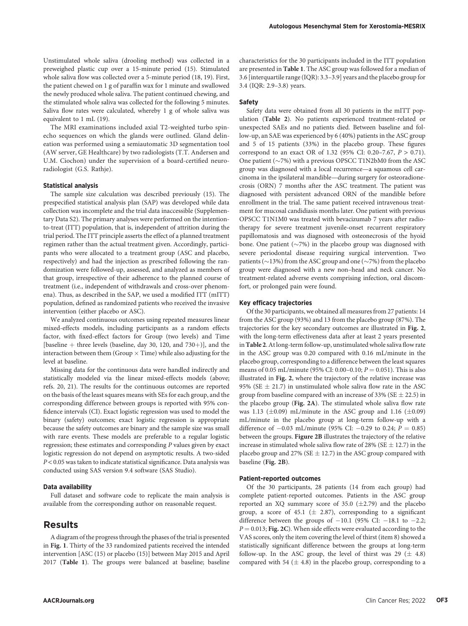Unstimulated whole saliva (drooling method) was collected in a preweighed plastic cup over a 15-minute period (15). Stimulated whole saliva flow was collected over a 5-minute period (18, 19). First, the patient chewed on 1 g of paraffin wax for 1 minute and swallowed the newly produced whole saliva. The patient continued chewing, and the stimulated whole saliva was collected for the following 5 minutes. Saliva flow rates were calculated, whereby 1 g of whole saliva was equivalent to 1 mL (19).

The MRI examinations included axial T2-weighted turbo spinecho sequences on which the glands were outlined. Gland delineation was performed using a semiautomatic 3D segmentation tool (AW server, GE Healthcare) by two radiologists (T.T. Andersen and U.M. Ciochon) under the supervision of a board-certified neuroradiologist (G.S. Rathje).

#### Statistical analysis

The sample size calculation was described previously (15). The prespecified statistical analysis plan (SAP) was developed while data collection was incomplete and the trial data inaccessible (Supplementary Data S2). The primary analyses were performed on the intentionto-treat (ITT) population, that is, independent of attrition during the trial period. The ITT principle asserts the effect of a planned treatment regimen rather than the actual treatment given. Accordingly, participants who were allocated to a treatment group (ASC and placebo, respectively) and had the injection as prescribed following the randomization were followed-up, assessed, and analyzed as members of that group, irrespective of their adherence to the planned course of treatment (i.e., independent of withdrawals and cross-over phenomena). Thus, as described in the SAP, we used a modified ITT (mITT) population, defined as randomized patients who received the invasive intervention (either placebo or ASC).

We analyzed continuous outcomes using repeated measures linear mixed-effects models, including participants as a random effects factor, with fixed-effect factors for Group (two levels) and Time [baseline  $+$  three levels (baseline, day 30, 120, and 730+)], and the interaction between them (Group  $\times$  Time) while also adjusting for the level at baseline.

Missing data for the continuous data were handled indirectly and statistically modeled via the linear mixed-effects models (above; refs. 20, 21). The results for the continuous outcomes are reported on the basis of the least squares means with SEs for each group, and the corresponding difference between groups is reported with 95% confidence intervals (CI). Exact logistic regression was used to model the binary (safety) outcomes; exact logistic regression is appropriate because the safety outcomes are binary and the sample size was small with rare events. These models are preferable to a regular logistic regression; these estimates and corresponding P values given by exact logistic regression do not depend on asymptotic results. A two-sided P < 0.05 was taken to indicate statistical significance. Data analysis was conducted using SAS version 9.4 software (SAS Studio).

## Data availability

Full dataset and software code to replicate the main analysis is available from the corresponding author on reasonable request.

## Results

A diagram of the progress through the phases of the trial is presented in Fig. 1. Thirty of the 33 randomized patients received the intended intervention [ASC (15) or placebo (15)] between May 2015 and April 2017 (Table 1). The groups were balanced at baseline; baseline characteristics for the 30 participants included in the ITT population are presented in Table 1. The ASC group was followed for a median of 3.6 [interquartile range (IQR): 3.3–3.9] years and the placebo group for 3.4 (IQR: 2.9–3.8) years.

#### Safety

Safety data were obtained from all 30 patients in the mITT population (Table 2). No patients experienced treatment-related or unexpected SAEs and no patients died. Between baseline and follow-up, an SAE was experienced by 6 (40%) patients in the ASC group and 5 of 15 patients (33%) in the placebo group. These figures correspond to an exact OR of 1.32 (95% CI: 0.20–7.67, P > 0.71). One patient  $(\sim 7\%)$  with a previous OPSCC T1N2bM0 from the ASC group was diagnosed with a local recurrence—a squamous cell carcinoma in the ipsilateral mandible—during surgery for osteoradionecrosis (ORN) 7 months after the ASC treatment. The patient was diagnosed with persistent advanced ORN of the mandible before enrollment in the trial. The same patient received intravenous treatment for mucosal candidiasis months later. One patient with previous OPSCC T1N1M0 was treated with bevacizumab 7 years after radiotherapy for severe treatment juvenile-onset recurrent respiratory papillomatosis and was diagnosed with osteonecrosis of the hyoid bone. One patient  $(\sim 7\%)$  in the placebo group was diagnosed with severe periodontal disease requiring surgical intervention. Two patients ( $\sim$ 13%) from the ASC group and one ( $\sim$ 7%) from the placebo group were diagnosed with a new non–head and neck cancer. No treatment-related adverse events comprising infection, oral discomfort, or prolonged pain were found.

#### Key efficacy trajectories

Of the 30 participants, we obtained all measures from 27 patients: 14 from the ASC group (93%) and 13 from the placebo group (87%). The trajectories for the key secondary outcomes are illustrated in Fig. 2, with the long-term effectiveness data after at least 2 years presented inTable 2. At long-term follow-up, unstimulated whole saliva flow rate in the ASC group was 0.20 compared with 0.16 mL/minute in the placebo group, corresponding to a difference between the least squares means of 0.05 mL/minute (95% CI: 0.00–0.10;  $P = 0.051$ ). This is also illustrated in Fig. 2, where the trajectory of the relative increase was 95% (SE  $\pm$  21.7) in unstimulated whole saliva flow rate in the ASC group from baseline compared with an increase of 33% (SE  $\pm$  22.5) in the placebo group (Fig. 2A). The stimulated whole saliva flow rate was 1.13  $(\pm 0.09)$  mL/minute in the ASC group and 1.16  $(\pm 0.09)$ mL/minute in the placebo group at long-term follow-up with a difference of  $-0.03$  mL/minute (95% CI:  $-0.29$  to 0.24;  $P = 0.85$ ) between the groups. Figure 2B illustrates the trajectory of the relative increase in stimulated whole saliva flow rate of 28% (SE  $\pm$  12.7) in the placebo group and 27% (SE  $\pm$  12.7) in the ASC group compared with baseline (Fig. 2B).

#### Patient-reported outcomes

Of the 30 participants, 28 patients (14 from each group) had complete patient-reported outcomes. Patients in the ASC group reported an XQ summary score of 35.0  $(\pm 2.79)$  and the placebo group, a score of 45.1 ( $\pm$  2.87), corresponding to a significant difference between the groups of  $-10.1$  (95% CI:  $-18.1$  to  $-2.2$ ;  $P = 0.013$ ; Fig. 2C). When side effects were evaluated according to the VAS scores, only the item covering the level of thirst (item 8) showed a statistically significant difference between the groups at long-term follow-up. In the ASC group, the level of thirst was 29  $(\pm 4.8)$ compared with 54 ( $\pm$  4.8) in the placebo group, corresponding to a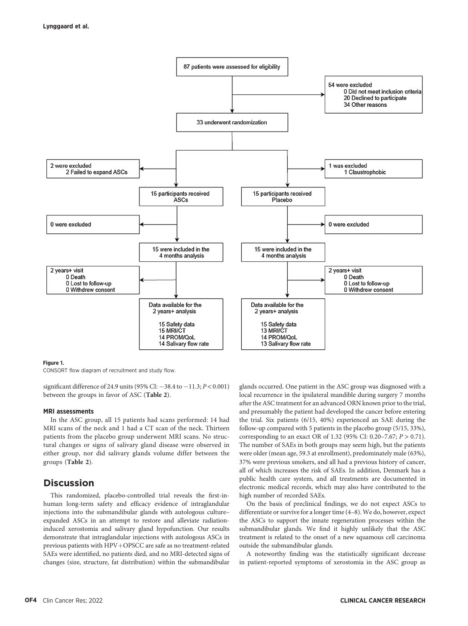

#### Figure 1.

CONSORT flow diagram of recruitment and study flow.

significant difference of 24.9 units (95% CI:  $-38.4$  to  $-11.3$ ;  $P < 0.001$ ) between the groups in favor of ASC (Table 2).

#### MRI assessments

In the ASC group, all 15 patients had scans performed: 14 had MRI scans of the neck and 1 had a CT scan of the neck. Thirteen patients from the placebo group underwent MRI scans. No structural changes or signs of salivary gland disease were observed in either group, nor did salivary glands volume differ between the groups (Table 2).

# **Discussion**

This randomized, placebo-controlled trial reveals the first-inhuman long-term safety and efficacy evidence of intraglandular injections into the submandibular glands with autologous culture– expanded ASCs in an attempt to restore and alleviate radiationinduced xerostomia and salivary gland hypofunction. Our results demonstrate that intraglandular injections with autologous ASCs in previous patients with HPV+OPSCC are safe as no treatment-related SAEs were identified, no patients died, and no MRI-detected signs of changes (size, structure, fat distribution) within the submandibular glands occurred. One patient in the ASC group was diagnosed with a local recurrence in the ipsilateral mandible during surgery 7 months after the ASC treatment for an advanced ORN known prior to the trial, and presumably the patient had developed the cancer before entering the trial. Six patients (6/15, 40%) experienced an SAE during the follow-up compared with 5 patients in the placebo group (5/15, 33%), corresponding to an exact OR of 1.32 (95% CI: 0.20–7.67; P > 0.71). The number of SAEs in both groups may seem high, but the patients were older (mean age, 59.3 at enrollment), predominately male (63%), 37% were previous smokers, and all had a previous history of cancer, all of which increases the risk of SAEs. In addition, Denmark has a public health care system, and all treatments are documented in electronic medical records, which may also have contributed to the high number of recorded SAEs.

On the basis of preclinical findings, we do not expect ASCs to differentiate or survive for a longer time (4–8). We do, however, expect the ASCs to support the innate regeneration processes within the submandibular glands. We find it highly unlikely that the ASC treatment is related to the onset of a new squamous cell carcinoma outside the submandibular glands.

A noteworthy finding was the statistically significant decrease in patient-reported symptoms of xerostomia in the ASC group as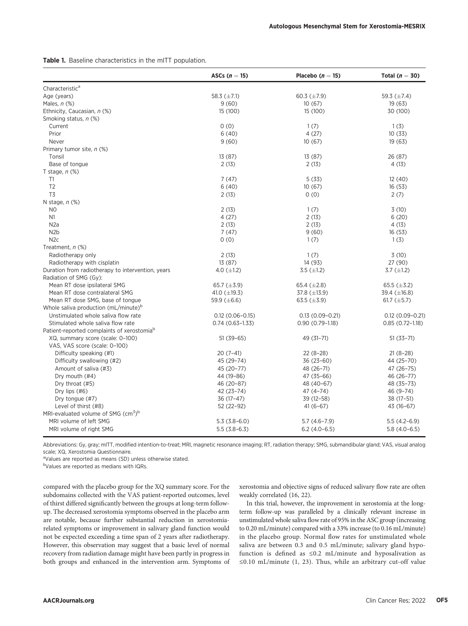Table 1. Baseline characteristics in the mITT population.

|                                                        | ASCs $(n = 15)$     | Placebo ( $n = 15$ ) | Total ( $n = 30$ )  |
|--------------------------------------------------------|---------------------|----------------------|---------------------|
| Characteristic <sup>a</sup>                            |                     |                      |                     |
| Age (years)                                            | 58.3 $(\pm 7.1)$    | 60.3 $(\pm 7.9)$     | 59.3 (±7.4)         |
| Males, $n$ $(\%)$                                      | 9(60)               | 10(67)               | 19(63)              |
| Ethnicity, Caucasian, n (%)                            | 15 (100)            | 15 (100)             | 30 (100)            |
| Smoking status, n (%)                                  |                     |                      |                     |
| Current                                                | 0(0)                | 1(7)                 | 1(3)                |
| Prior                                                  | 6(40)               | 4(27)                | 10(33)              |
| Never                                                  | 9(60)               | 10(67)               | 19(63)              |
| Primary tumor site, n (%)                              |                     |                      |                     |
| Tonsil                                                 | 13 (87)             | 13 (87)              | 26 (87)             |
| Base of tongue                                         | 2(13)               | 2(13)                | 4(13)               |
| T stage, $n$ $%$                                       |                     |                      |                     |
| T1                                                     | 7(47)               | 5(33)                | 12(40)              |
| T <sub>2</sub>                                         | 6(40)               | 10(67)               | 16(53)              |
| T <sub>3</sub>                                         | 2(13)               | 0(0)                 | 2(7)                |
| N stage, n (%)                                         |                     |                      |                     |
| N <sub>0</sub>                                         | 2(13)               | 1(7)                 | 3(10)               |
| N1                                                     | 4(27)               | 2(13)                | 6(20)               |
| N <sub>2</sub> a                                       | 2(13)               | 2(13)                | 4(13)               |
| N <sub>2</sub> b                                       | 7(47)               | 9(60)                | 16(53)              |
| N <sub>2c</sub>                                        | 0(0)                | 1(7)                 | 1(3)                |
| Treatment, n (%)                                       |                     |                      |                     |
| Radiotherapy only                                      | 2(13)               | 1(7)                 | 3(10)               |
| Radiotherapy with cisplatin                            | 13(87)              | 14 (93)              | 27 (90)             |
| Duration from radiotherapy to intervention, years      | 4.0 $(\pm 1.2)$     | 3.5 $(\pm 1.2)$      | 3.7 $(\pm 1.2)$     |
| Radiation of SMG (Gy):                                 |                     |                      |                     |
| Mean RT dose ipsilateral SMG                           | 65.7 $(\pm 3.9)$    | 65.4 $(\pm 2.8)$     | 65.5 $(\pm 3.2)$    |
| Mean RT dose contralateral SMG                         | 41.0 $(\pm 19.3)$   | 37.8 $(\pm 13.9)$    | 39.4 (±16.8)        |
| Mean RT dose SMG, base of tongue                       | 59.9 $(\pm 6.6)$    | 63.5 $(\pm 3.9)$     | 61.7 $(\pm 5.7)$    |
| Whole saliva production (mL/minute) <sup>b</sup>       |                     |                      |                     |
| Unstimulated whole saliva flow rate                    | $0.12(0.06 - 0.15)$ | $0.13(0.09 - 0.21)$  | $0.12(0.09 - 0.21)$ |
| Stimulated whole saliva flow rate                      | $0.74(0.63 - 1.33)$ | $0.90(0.79-1.18)$    | $0.85(0.72 - 1.18)$ |
| Patient-reported complaints of xerostomia <sup>b</sup> |                     |                      |                     |
| XQ, summary score (scale: 0-100)                       | $51(39-65)$         | 49 (31-71)           | $51(33-71)$         |
| VAS, VAS score (scale: 0-100)                          |                     |                      |                     |
| Difficulty speaking (#1)                               | $20(7-41)$          | $22(8-28)$           | $21(8-28)$          |
| Difficulty swallowing (#2)                             | 45 (29-74)          | 36 (23-60)           | 44 (25-70)          |
| Amount of saliva (#3)                                  | 45 (20-77)          | 48 (26-71)           | 47 (26-75)          |
| Dry mouth (#4)                                         | 44 (19-86)          | 47 (35-66)           | 46 (26-77)          |
| Dry throat (#5)                                        | 46 (20-87)          | 48 (40-67)           | 48 (35-73)          |
| Dry lips $(#6)$                                        | 42 (23-74)          | 47 (4-74)            | 46 (9-74)           |
| Dry tonque (#7)                                        | $36(17-47)$         | 39 (12-58)           | 38 (17-51)          |
| Level of thirst (#8)                                   | 52 (22-92)          | $41(6-67)$           | 43 (16-67)          |
| MRI-evaluated volume of SMG $(cm5)b$                   |                     |                      |                     |
| MRI volume of left SMG                                 | $5.3(3.8-6.0)$      | $5.7(4.6 - 7.9)$     | $5.5(4.2-6.9)$      |
| MRI volume of right SMG                                | $5.5(3.8-6.3)$      | $6.2(4.0-6.5)$       | $5.8(4.0-6.5)$      |
|                                                        |                     |                      |                     |

Abbreviations: Gy, gray; mITT, modified intention-to-treat; MRI, magnetic resonance imaging; RT, radiation therapy; SMG, submandibular gland; VAS, visual analog scale; XQ, Xerostomia Questionnaire.

<sup>a</sup>Values are reported as means (SD) unless otherwise stated.

<sup>b</sup>Values are reported as medians with IQRs.

compared with the placebo group for the XQ summary score. For the subdomains collected with the VAS patient-reported outcomes, level of thirst differed significantly between the groups at long-term followup. The decreased xerostomia symptoms observed in the placebo arm are notable, because further substantial reduction in xerostomiarelated symptoms or improvement in salivary gland function would not be expected exceeding a time span of 2 years after radiotherapy. However, this observation may suggest that a basic level of normal recovery from radiation damage might have been partly in progress in both groups and enhanced in the intervention arm. Symptoms of xerostomia and objective signs of reduced salivary flow rate are often weakly correlated (16, 22).

In this trial, however, the improvement in xerostomia at the longterm follow-up was paralleled by a clinically relevant increase in unstimulated whole saliva flow rate of 95% in the ASC group (increasing to 0.20 mL/minute) compared with a 33% increase (to 0.16 mL/minute) in the placebo group. Normal flow rates for unstimulated whole saliva are between 0.3 and 0.5 mL/minute; salivary gland hypofunction is defined as ≤0.2 mL/minute and hyposalivation as ≤0.10 mL/minute (1, 23). Thus, while an arbitrary cut-off value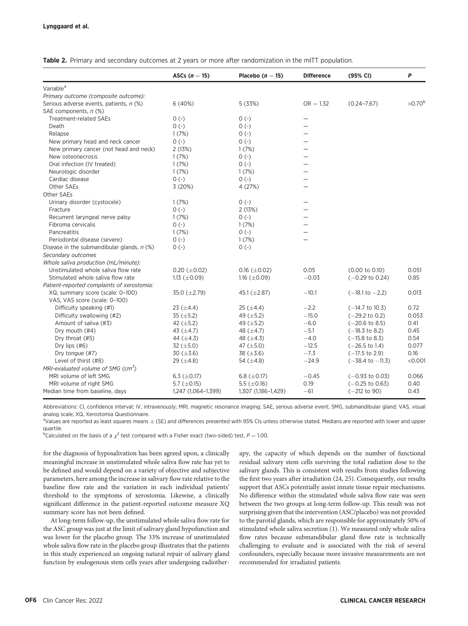Table 2. Primary and secondary outcomes at 2 years or more after randomization in the mITT population.

|                                                | ASCs $(n = 15)$     | Placebo ( $n = 15$ ) | <b>Difference</b>        | (95% CI)                    | P           |
|------------------------------------------------|---------------------|----------------------|--------------------------|-----------------------------|-------------|
| Variable <sup>a</sup>                          |                     |                      |                          |                             |             |
| Primary outcome (composite outcome):           |                     |                      |                          |                             |             |
| Serious adverse events, patients, n (%)        | 6(40%)              | 5(33%)               | $OR = 1.32$              | $(0.24 - 7.67)$             | $>0.70^{b}$ |
| SAE components, n (%)                          |                     |                      |                          |                             |             |
| <b>Treatment-related SAEs</b>                  | $0 (-)$             | $0 (-)$              |                          |                             |             |
| Death                                          | $0 (-)$             | $0 (-)$              | $\overline{\phantom{0}}$ |                             |             |
| Relapse                                        | 1(7%)               | $0 (-)$              |                          |                             |             |
| New primary head and neck cancer               | $0 (-)$             | $0 (-)$              |                          |                             |             |
| New primary cancer (not head and neck)         | 2(13%)              | 1(7%)                |                          |                             |             |
| New osteonecrosis                              | 1(7%)               | $0(-)$               |                          |                             |             |
| Oral infection (IV treated)                    | 1(7%)               | $0(-)$               |                          |                             |             |
| Neurologic disorder                            | 1(7%)               | 1(7%)                |                          |                             |             |
| Cardiac disease                                | $0 (-)$             | $0 (-)$              | $\overline{\phantom{0}}$ |                             |             |
| Other SAEs                                     | 3(20%)              | 4 (27%)              | $\equiv$                 |                             |             |
| Other SAEs                                     |                     |                      |                          |                             |             |
| Urinary disorder (cystocele)                   | 1(7%)               | $0 (-)$              | $\overline{\phantom{0}}$ |                             |             |
| Fracture                                       | $0 (-)$             | 2 (13%)              |                          |                             |             |
| Recurrent laryngeal nerve palsy                | 1(7%)               | $0 (-)$              |                          |                             |             |
| Fibroma cervicalis                             | $0 (-)$             | 1(7%)                |                          |                             |             |
| Pancreatitis                                   | 1(7%)               | $0 (-)$              |                          |                             |             |
| Periodontal disease (severe)                   | $0 (-)$             | 1(7%)                |                          |                             |             |
| Disease in the submandibular glands, $n$ (%)   | $0 (-)$             | $0 (-)$              |                          |                             |             |
| Secondary outcomes                             |                     |                      |                          |                             |             |
| Whole saliva production (mL/minute):           |                     |                      |                          |                             |             |
| Unstimulated whole saliva flow rate            | $0.20~(\pm 0.02)$   | $0.16 (\pm 0.02)$    | 0.05                     | $(0.00 \text{ to } 0.10)$   | 0.051       |
| Stimulated whole saliva flow rate              | 1.13 $(\pm 0.09)$   | 1.16 $(\pm 0.09)$    | $-0.03$                  | $(-0.29 \text{ to } 0.24)$  | 0.85        |
| Patient-reported complaints of xerostomia:     |                     |                      |                          |                             |             |
| XQ, summary score (scale: 0-100)               | 35.0 $(\pm 2.79)$   | 45.1 $(\pm 2.87)$    | $-10.1$                  | $(-18.1 to -2.2)$           | 0.013       |
| VAS, VAS score (scale: 0-100)                  |                     |                      |                          |                             |             |
| Difficulty speaking (#1)                       | 23 $(\pm 4.4)$      | 25 $(\pm 4.4)$       | $-2.2$                   | $(-14.7 \text{ to } 10.3)$  | 0.72        |
| Difficulty swallowing (#2)                     | 35 $(\pm 5.2)$      | 49 $(\pm 5.2)$       | $-15.0$                  | $(-29.2 \text{ to } 0.2)$   | 0.053       |
| Amount of saliva (#3)                          | 42 $(\pm 5.2)$      | 49 $(\pm 5.2)$       | $-6.0$                   | $(-20.6 \text{ to } 8.5)$   | 0.41        |
| Dry mouth (#4)                                 | 43 $(\pm 4.7)$      | 48 $(\pm 4.7)$       | $-5.1$                   | $(-18.3 \text{ to } 8.2)$   | 0.45        |
| Dry throat (#5)                                | 44 $(\pm 4.3)$      | 48 $(\pm 4.3)$       | $-4.0$                   | $(-15.8 \text{ to } 8.3)$   | 0.54        |
| Dry lips $(46)$                                | 32 $(\pm 5.0)$      | 47 $(\pm 5.0)$       | $-12.5$                  | $(-26.5 \text{ to } 1.4)$   | 0.077       |
| Dry tongue (#7)                                | 30 $(\pm 3.6)$      | 38 (±3.6)            | $-7.3$                   | $(-17.5 \text{ to } 2.9)$   | 0.16        |
| Level of thirst (#8)                           | 29 $(\pm 4.8)$      | 54 $(\pm 4.8)$       | $-24.9$                  | $(-38.4 \text{ to } -11.3)$ | < 0.001     |
| MRI-evaluated volume of SMG (cm <sup>3</sup> ) |                     |                      |                          |                             |             |
| MRI volume of left SMG                         | 6.3 $(\pm 0.17)$    | 6.8 $(\pm 0.17)$     | $-0.45$                  | $(-0.93 \text{ to } 0.03)$  | 0.066       |
| MRI volume of right SMG                        | 5.7 $(\pm 0.15)$    | 5.5 $(\pm 0.16)$     | 0.19                     | $(-0.25 \text{ to } 0.63)$  | 0.40        |
| Median time from baseline, days                | 1,247 (1,064-1,399) | 1,307 (1,186-1,429)  | $-61$                    | $(-212$ to 90)              | 0.43        |

Abbreviations: CI, confidence interval; IV, intravenously; MRI, magnetic resonance imaging; SAE, serious adverse event; SMG, submandibular gland; VAS, visual analog scale; XQ, Xerostomia Questionnaire.

 $^{\rm a}$ Values are reported as least squares means  $\pm$  (SE) and differences presented with 95% CIs unless otherwise stated. Medians are reported with lower and upper quartile.

<sup>b</sup>Calculated on the basis of a  $\chi^2$  test compared with a Fisher exact (two-sided) test,  $P = 1.00$ .

for the diagnosis of hyposalivation has been agreed upon, a clinically meaningful increase in unstimulated whole saliva flow rate has yet to be defined and would depend on a variety of objective and subjective parameters, here among the increase in salivary flow rate relative to the baseline flow rate and the variation in each individual patients' threshold to the symptoms of xerostomia. Likewise, a clinically significant difference in the patient-reported outcome measure XQ summary score has not been defined.

At long-term follow-up, the unstimulated whole saliva flow rate for the ASC group was just at the limit of salivary gland hypofunction and was lower for the placebo group. The 33% increase of unstimulated whole saliva flow rate in the placebo group illustrates that the patients in this study experienced an ongoing natural repair of salivary gland function by endogenous stem cells years after undergoing radiotherapy, the capacity of which depends on the number of functional residual salivary stem cells surviving the total radiation dose to the salivary glands. This is consistent with results from studies following the first two years after irradiation (24, 25). Consequently, our results support that ASCs potentially assist innate tissue repair mechanisms. No difference within the stimulated whole saliva flow rate was seen between the two groups at long-term follow-up. This result was not surprising given that the intervention (ASC/placebo) was not provided to the parotid glands, which are responsible for approximately 50% of stimulated whole saliva secretion (1). We measured only whole saliva flow rates because submandibular gland flow rate is technically challenging to evaluate and is associated with the risk of several confounders, especially because more invasive measurements are not recommended for irradiated patients.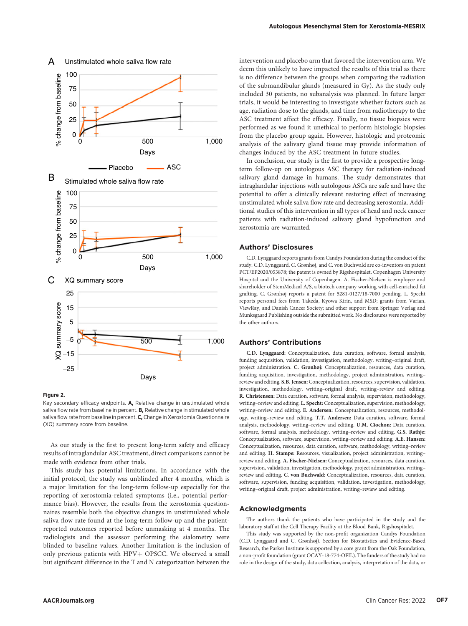

A Unstimulated whole saliva flow rate



#### Figure 2.

Key secondary efficacy endpoints. A, Relative change in unstimulated whole saliva flow rate from baseline in percent. B, Relative change in stimulated whole saliva flow rate from baseline in percent. C, Change in Xerostomia Questionnaire (XQ) summary score from baseline.

As our study is the first to present long-term safety and efficacy results of intraglandular ASC treatment, direct comparisons cannot be made with evidence from other trials.

This study has potential limitations. In accordance with the initial protocol, the study was unblinded after 4 months, which is a major limitation for the long-term follow-up especially for the reporting of xerostomia-related symptoms (i.e., potential performance bias). However, the results from the xerostomia questionnaires resemble both the objective changes in unstimulated whole saliva flow rate found at the long-term follow-up and the patientreported outcomes reported before unmasking at 4 months. The radiologists and the assessor performing the sialometry were blinded to baseline values. Another limitation is the inclusion of only previous patients with  $HPV + OPSCC$ . We observed a small but significant difference in the T and N categorization between the intervention and placebo arm that favored the intervention arm. We deem this unlikely to have impacted the results of this trial as there is no difference between the groups when comparing the radiation of the submandibular glands (measured in Gy). As the study only included 30 patients, no subanalysis was planned. In future larger trials, it would be interesting to investigate whether factors such as age, radiation dose to the glands, and time from radiotherapy to the ASC treatment affect the efficacy. Finally, no tissue biopsies were performed as we found it unethical to perform histologic biopsies from the placebo group again. However, histologic and proteomic analysis of the salivary gland tissue may provide information of changes induced by the ASC treatment in future studies.

In conclusion, our study is the first to provide a prospective longterm follow-up on autologous ASC therapy for radiation-induced salivary gland damage in humans. The study demonstrates that intraglandular injections with autologous ASCs are safe and have the potential to offer a clinically relevant restoring effect of increasing unstimulated whole saliva flow rate and decreasing xerostomia. Additional studies of this intervention in all types of head and neck cancer patients with radiation-induced salivary gland hypofunction and xerostomia are warranted.

#### Authors' Disclosures

C.D. Lynggaard reports grants from Candys Foundation during the conduct of the study. C.D. Lynggaard, C. Grønhøj, and C. von Buchwald are co-inventors on patent PCT/EP2020/053878; the patent is owned by Rigshospitalet, Copenhagen University Hospital and the University of Copenhagen. A. Fischer-Nielsen is employee and shareholder of StemMedical A/S, a biotech company working with cell-enriched fat grafting. C. Grønhøj reports a patent for 5281-0127/18-7000 pending. L. Specht reports personal fees from Takeda, Kyowa Kirin, and MSD; grants from Varian, ViewRay, and Danish Cancer Society; and other support from Springer Verlag and Munksgaard Publishing outside the submitted work. No disclosures were reported by the other authors.

### Authors' Contributions

C.D. Lynggaard: Conceptualization, data curation, software, formal analysis, funding acquisition, validation, investigation, methodology, writing–original draft, project administration. C. Grønhøj: Conceptualization, resources, data curation, funding acquisition, investigation, methodology, project administration, writing– review and editing. S.B. Jensen:Conceptualization, resources, supervision, validation, investigation, methodology, writing–original draft, writing–review and editing. R. Christensen: Data curation, software, formal analysis, supervision, methodology, writing–review and editing. L. Specht: Conceptualization, supervision, methodology, writing–review and editing. E. Andersen: Conceptualization, resources, methodology, writing–review and editing. T.T. Andersen: Data curation, software, formal analysis, methodology, writing–review and editing. U.M. Ciochon: Data curation, software, formal analysis, methodology, writing–review and editing. G.S. Rathje: Conceptualization, software, supervision, writing–review and editing. A.E. Hansen: Conceptualization, resources, data curation, software, methodology, writing–review and editing. H. Stampe: Resources, visualization, project administration, writing– review and editing. A. Fischer-Nielsen: Conceptualization, resources, data curation, supervision, validation, investigation, methodology, project administration, writing– review and editing. C. von Buchwald: Conceptualization, resources, data curation, software, supervision, funding acquisition, validation, investigation, methodology, writing–original draft, project administration, writing–review and editing.

## Acknowledgments

The authors thank the patients who have participated in the study and the laboratory staff at the Cell Therapy Facility at the Blood Bank, Rigshospitalet.

This study was supported by the non-profit organization Candys Foundation (C.D. Lynggaard and C. Grønhøj). Section for Biostatistics and Evidence-Based Research, the Parker Institute is supported by a core grant from the Oak Foundation, a non-profit foundation (grant OCAY-18-774-OFIL). The funders of the study had no role in the design of the study, data collection, analysis, interpretation of the data, or